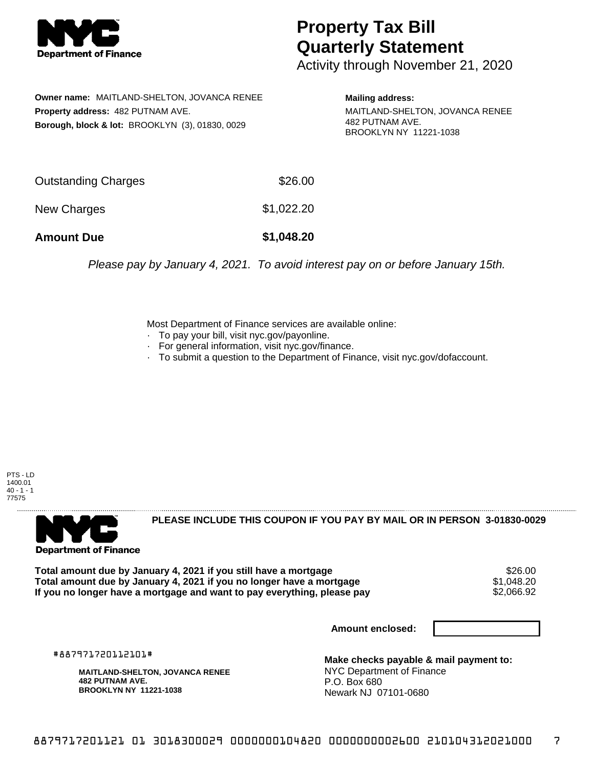

## **Property Tax Bill Quarterly Statement**

Activity through November 21, 2020

**Owner name:** MAITLAND-SHELTON, JOVANCA RENEE **Property address:** 482 PUTNAM AVE. **Borough, block & lot:** BROOKLYN (3), 01830, 0029

**Mailing address:**

MAITLAND-SHELTON, JOVANCA RENEE 482 PUTNAM AVE. BROOKLYN NY 11221-1038

| <b>Amount Due</b>   | \$1,048.20 |
|---------------------|------------|
| New Charges         | \$1,022.20 |
| Outstanding Charges | \$26.00    |

Please pay by January 4, 2021. To avoid interest pay on or before January 15th.

Most Department of Finance services are available online:

- · To pay your bill, visit nyc.gov/payonline.
- For general information, visit nyc.gov/finance.
- · To submit a question to the Department of Finance, visit nyc.gov/dofaccount.





**PLEASE INCLUDE THIS COUPON IF YOU PAY BY MAIL OR IN PERSON 3-01830-0029** 

Total amount due by January 4, 2021 if you still have a mortgage \$26.00<br>Total amount due by January 4, 2021 if you no longer have a mortgage \$1.048.20 **Total amount due by January 4, 2021 if you no longer have a mortgage**  $$1,048.20$ **<br>If you no longer have a mortgage and want to pay everything, please pay**  $$2,066.92$ If you no longer have a mortgage and want to pay everything, please pay

**Amount enclosed:**

#887971720112101#

**MAITLAND-SHELTON, JOVANCA RENEE 482 PUTNAM AVE. BROOKLYN NY 11221-1038**

**Make checks payable & mail payment to:** NYC Department of Finance P.O. Box 680 Newark NJ 07101-0680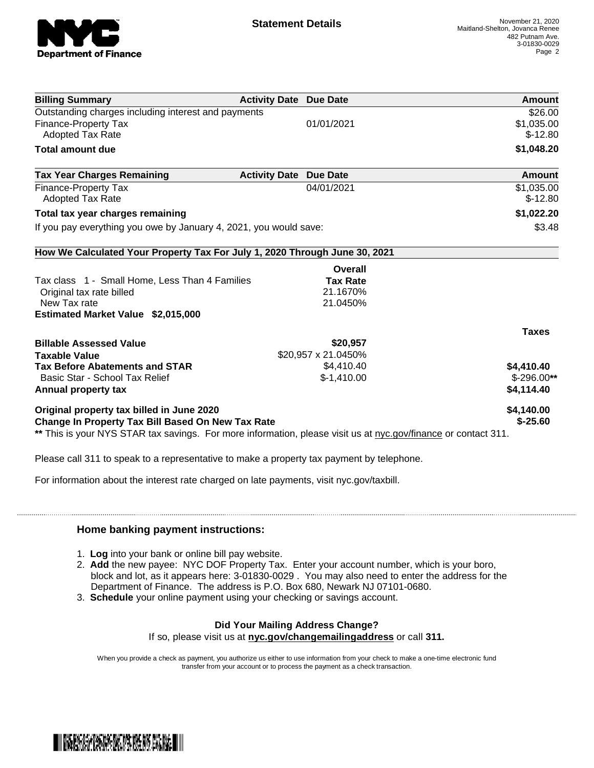

| <b>Billing Summary</b>                                                     | <b>Activity Date Due Date</b>           | Amount       |
|----------------------------------------------------------------------------|-----------------------------------------|--------------|
| Outstanding charges including interest and payments                        |                                         | \$26.00      |
| <b>Finance-Property Tax</b>                                                | 01/01/2021                              | \$1,035.00   |
| <b>Adopted Tax Rate</b>                                                    |                                         | $$-12.80$    |
| <b>Total amount due</b>                                                    |                                         | \$1,048.20   |
| <b>Tax Year Charges Remaining</b>                                          | <b>Activity Date</b><br><b>Due Date</b> | Amount       |
| <b>Finance-Property Tax</b>                                                | 04/01/2021                              | \$1,035.00   |
| <b>Adopted Tax Rate</b>                                                    |                                         | $$-12.80$    |
| Total tax year charges remaining                                           |                                         | \$1,022.20   |
| If you pay everything you owe by January 4, 2021, you would save:          |                                         | \$3.48       |
| How We Calculated Your Property Tax For July 1, 2020 Through June 30, 2021 |                                         |              |
|                                                                            | Overall                                 |              |
| Tax class 1 - Small Home, Less Than 4 Families                             | <b>Tax Rate</b>                         |              |
| Original tax rate billed                                                   | 21.1670%                                |              |
| New Tax rate                                                               | 21.0450%                                |              |
| Estimated Market Value \$2,015,000                                         |                                         |              |
|                                                                            |                                         | <b>Taxes</b> |
| <b>Billable Assessed Value</b>                                             | \$20,957                                |              |
| <b>Taxable Value</b>                                                       | \$20,957 x 21.0450%                     |              |
| <b>Tax Before Abatements and STAR</b>                                      | \$4,410.40                              | \$4,410.40   |
| Basic Star - School Tax Relief                                             | $$-1,410.00$                            | $$-296.00**$ |
| Annual property tax                                                        |                                         | \$4,114.40   |
|                                                                            |                                         | \$4,140.00   |
| Original property tax billed in June 2020                                  |                                         |              |

Please call 311 to speak to a representative to make a property tax payment by telephone.

For information about the interest rate charged on late payments, visit nyc.gov/taxbill.

## **Home banking payment instructions:**

- 1. **Log** into your bank or online bill pay website.
- 2. **Add** the new payee: NYC DOF Property Tax. Enter your account number, which is your boro, block and lot, as it appears here: 3-01830-0029 . You may also need to enter the address for the Department of Finance. The address is P.O. Box 680, Newark NJ 07101-0680.
- 3. **Schedule** your online payment using your checking or savings account.

## **Did Your Mailing Address Change?**

If so, please visit us at **nyc.gov/changemailingaddress** or call **311.**

When you provide a check as payment, you authorize us either to use information from your check to make a one-time electronic fund transfer from your account or to process the payment as a check transaction.